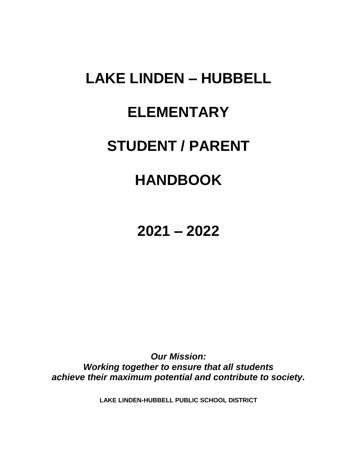# **LAKE LINDEN – HUBBELL ELEMENTARY STUDENT / PARENT HANDBOOK**

**2021 – 2022**

*Our Mission: Working together to ensure that all students achieve their maximum potential and contribute to society.*

**LAKE LINDEN-HUBBELL PUBLIC SCHOOL DISTRICT**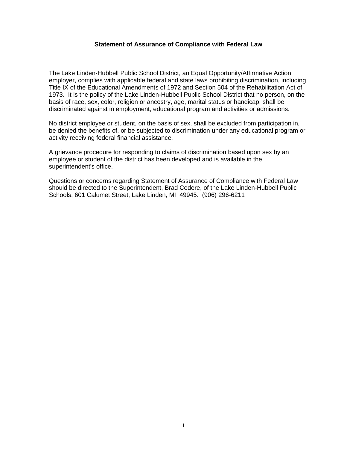#### **Statement of Assurance of Compliance with Federal Law**

The Lake Linden-Hubbell Public School District, an Equal Opportunity/Affirmative Action employer, complies with applicable federal and state laws prohibiting discrimination, including Title IX of the Educational Amendments of 1972 and Section 504 of the Rehabilitation Act of 1973. It is the policy of the Lake Linden-Hubbell Public School District that no person, on the basis of race, sex, color, religion or ancestry, age, marital status or handicap, shall be discriminated against in employment, educational program and activities or admissions.

No district employee or student, on the basis of sex, shall be excluded from participation in, be denied the benefits of, or be subjected to discrimination under any educational program or activity receiving federal financial assistance.

A grievance procedure for responding to claims of discrimination based upon sex by an employee or student of the district has been developed and is available in the superintendent's office.

Questions or concerns regarding Statement of Assurance of Compliance with Federal Law should be directed to the Superintendent, Brad Codere, of the Lake Linden-Hubbell Public Schools, 601 Calumet Street, Lake Linden, MI 49945. (906) 296-6211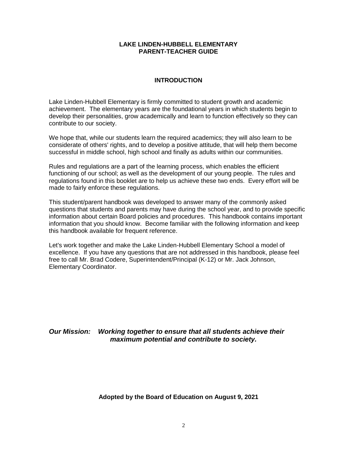#### **LAKE LINDEN-HUBBELL ELEMENTARY PARENT-TEACHER GUIDE**

#### **INTRODUCTION**

Lake Linden-Hubbell Elementary is firmly committed to student growth and academic achievement. The elementary years are the foundational years in which students begin to develop their personalities, grow academically and learn to function effectively so they can contribute to our society.

We hope that, while our students learn the required academics; they will also learn to be considerate of others' rights, and to develop a positive attitude, that will help them become successful in middle school, high school and finally as adults within our communities.

Rules and regulations are a part of the learning process, which enables the efficient functioning of our school; as well as the development of our young people. The rules and regulations found in this booklet are to help us achieve these two ends. Every effort will be made to fairly enforce these regulations.

This student/parent handbook was developed to answer many of the commonly asked questions that students and parents may have during the school year, and to provide specific information about certain Board policies and procedures. This handbook contains important information that you should know. Become familiar with the following information and keep this handbook available for frequent reference.

Let's work together and make the Lake Linden-Hubbell Elementary School a model of excellence. If you have any questions that are not addressed in this handbook, please feel free to call Mr. Brad Codere, Superintendent/Principal (K-12) or Mr. Jack Johnson, Elementary Coordinator.

## *Our Mission: Working together to ensure that all students achieve their maximum potential and contribute to society.*

#### **Adopted by the Board of Education on August 9, 2021**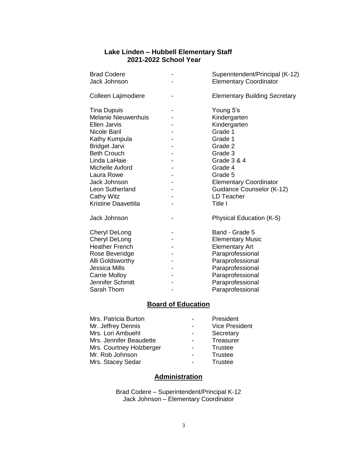# **Lake Linden – Hubbell Elementary Staff 2021-2022 School Year**

| <b>Brad Codere</b><br>Jack Johnson | Superintendent/Principal (K-12)<br><b>Elementary Coordinator</b> |  |  |
|------------------------------------|------------------------------------------------------------------|--|--|
| Colleen Lajimodiere                | <b>Elementary Building Secretary</b>                             |  |  |
| <b>Tina Dupuis</b>                 | Young 5's                                                        |  |  |
| <b>Melanie Nieuwenhuis</b>         | Kindergarten                                                     |  |  |
| <b>Ellen Jarvis</b>                | Kindergarten                                                     |  |  |
| Nicole Baril                       | Grade 1                                                          |  |  |
| Kathy Kumpula                      | Grade 1                                                          |  |  |
| <b>Bridget Jarvi</b>               | Grade 2                                                          |  |  |
| <b>Beth Crouch</b>                 | Grade 3                                                          |  |  |
| Linda LaHaie                       | <b>Grade 3 &amp; 4</b>                                           |  |  |
| Michelle Axford                    | Grade 4                                                          |  |  |
| Laura Rowe                         | Grade 5                                                          |  |  |
| Jack Johnson                       | <b>Elementary Coordinator</b>                                    |  |  |
| Leon Sutherland                    | Guidance Counselor (K-12)                                        |  |  |
| <b>Cathy Witz</b>                  | <b>LD Teacher</b>                                                |  |  |
| <b>Kristine Daavettila</b>         | Title I                                                          |  |  |
| Jack Johnson                       | Physical Education (K-5)                                         |  |  |
| Cheryl DeLong                      | Band - Grade 5                                                   |  |  |
| <b>Cheryl DeLong</b>               | <b>Elementary Music</b>                                          |  |  |
| <b>Heather French</b>              | <b>Elementary Art</b>                                            |  |  |
| Rose Beveridge                     | Paraprofessional                                                 |  |  |
| Alli Goldsworthy                   | Paraprofessional                                                 |  |  |
| <b>Jessica Mills</b>               | Paraprofessional                                                 |  |  |
| <b>Carrie Molloy</b>               | Paraprofessional                                                 |  |  |
| Jennifer Schmitt                   | Paraprofessional                                                 |  |  |
| Sarah Thom                         | Paraprofessional                                                 |  |  |

# **Board of Education**

| Mrs. Patricia Burton     | President             |
|--------------------------|-----------------------|
| Mr. Jeffrey Dennis       | <b>Vice President</b> |
| Mrs. Lori Ambuehl        | Secretary             |
| Mrs. Jennifer Beaudette  | Treasurer             |
| Mrs. Courtney Holzberger | <b>Trustee</b>        |
| Mr. Rob Johnson          | Trustee               |
| Mrs. Stacey Sedar        | Trustee               |

# **Administration**

Brad Codere – Superintendent/Principal K-12 Jack Johnson – Elementary Coordinator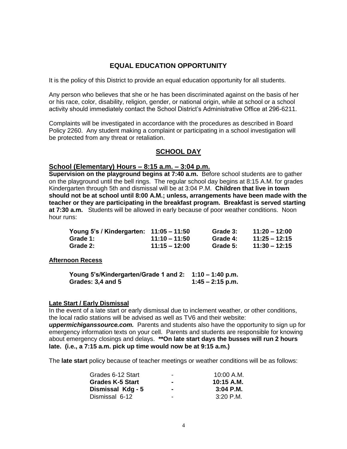# **EQUAL EDUCATION OPPORTUNITY**

It is the policy of this District to provide an equal education opportunity for all students.

Any person who believes that she or he has been discriminated against on the basis of her or his race, color, disability, religion, gender, or national origin, while at school or a school activity should immediately contact the School District's Administrative Office at 296-6211.

Complaints will be investigated in accordance with the procedures as described in Board Policy 2260. Any student making a complaint or participating in a school investigation will be protected from any threat or retaliation.

# **SCHOOL DAY**

#### **School (Elementary) Hours – 8:15 a.m. – 3:04 p.m.**

**Supervision on the playground begins at 7:40 a.m.** Before school students are to gather on the playground until the bell rings. The regular school day begins at 8:15 A.M. for grades Kindergarten through 5th and dismissal will be at 3:04 P.M. **Children that live in town should not be at school until 8:00 A.M.; unless, arrangements have been made with the teacher or they are participating in the breakfast program. Breakfast is served starting at 7:30 a.m.** Students will be allowed in early because of poor weather conditions. Noon hour runs:

| Young 5's / Kindergarten: 11:05 - 11:50 |                 | Grade 3: | $11:20 - 12:00$ |
|-----------------------------------------|-----------------|----------|-----------------|
| Grade 1:                                | $11:10 - 11:50$ | Grade 4: | $11:25 - 12:15$ |
| Grade 2:                                | $11:15 - 12:00$ | Grade 5: | $11:30 - 12:15$ |

#### **Afternoon Recess**

| Young 5's/Kindergarten/Grade 1 and 2: 1:10 – 1:40 p.m. |                    |
|--------------------------------------------------------|--------------------|
| Grades: 3,4 and 5                                      | $1:45 - 2:15$ p.m. |

#### **Late Start / Early Dismissal**

In the event of a late start or early dismissal due to inclement weather, or other conditions, the local radio stations will be advised as well as TV6 and their website:

*uppermichiganssource.com.* Parents and students also have the opportunity to sign up for emergency information texts on your cell. Parents and students are responsible for knowing about emergency closings and delays. **\*\*On late start days the busses will run 2 hours late. (i.e., a 7:15 a.m. pick up time would now be at 9:15 a.m.)** 

The **late start** policy because of teacher meetings or weather conditions will be as follows:

| Grades 6-12 Start       | - | 10:00 A.M.   |
|-------------------------|---|--------------|
| <b>Grades K-5 Start</b> |   | $10:15$ A.M. |
| Dismissal Kdg - 5       |   | $3:04$ P.M.  |
| Dismissal 6-12          | - | $3:20$ P.M.  |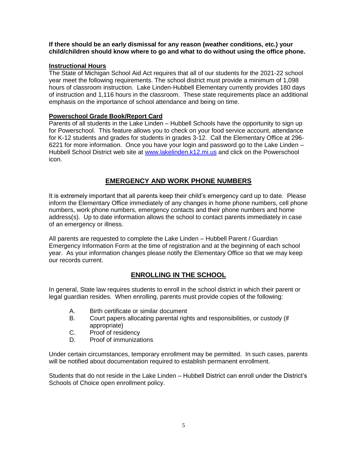#### **If there should be an early dismissal for any reason (weather conditions, etc.) your child/children should know where to go and what to do without using the office phone.**

## **Instructional Hours**

The State of Michigan School Aid Act requires that all of our students for the 2021-22 school year meet the following requirements. The school district must provide a minimum of 1,098 hours of classroom instruction. Lake Linden-Hubbell Elementary currently provides 180 days of instruction and 1,116 hours in the classroom. These state requirements place an additional emphasis on the importance of school attendance and being on time.

## **Powerschool Grade Book/Report Card**

Parents of all students in the Lake Linden – Hubbell Schools have the opportunity to sign up for Powerschool. This feature allows you to check on your food service account, attendance for K-12 students and grades for students in grades 3-12. Call the Elementary Office at 296- 6221 for more information. Once you have your login and password go to the Lake Linden – Hubbell School District web site at [www.lakelinden.k12.mi.us](http://www.lakelinden.k12.mi.us/) and click on the Powerschool icon.

# **EMERGENCY AND WORK PHONE NUMBERS**

It is extremely important that all parents keep their child's emergency card up to date. Please inform the Elementary Office immediately of any changes in home phone numbers, cell phone numbers, work phone numbers, emergency contacts and their phone numbers and home address(s). Up to date information allows the school to contact parents immediately in case of an emergency or illness.

All parents are requested to complete the Lake Linden – Hubbell Parent / Guardian Emergency Information Form at the time of registration and at the beginning of each school year. As your information changes please notify the Elementary Office so that we may keep our records current.

# **ENROLLING IN THE SCHOOL**

In general, State law requires students to enroll in the school district in which their parent or legal guardian resides. When enrolling, parents must provide copies of the following:

- A. Birth certificate or similar document
- B. Court papers allocating parental rights and responsibilities, or custody (if appropriate)
- C. Proof of residency
- D. Proof of immunizations

Under certain circumstances, temporary enrollment may be permitted. In such cases, parents will be notified about documentation required to establish permanent enrollment.

Students that do not reside in the Lake Linden – Hubbell District can enroll under the District's Schools of Choice open enrollment policy.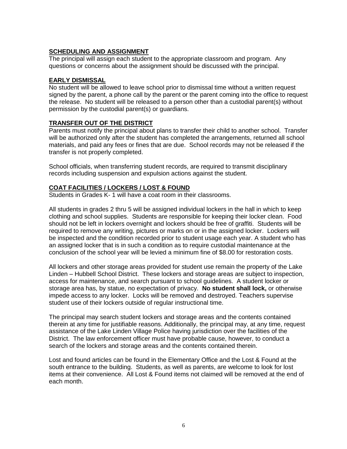## **SCHEDULING AND ASSIGNMENT**

The principal will assign each student to the appropriate classroom and program. Any questions or concerns about the assignment should be discussed with the principal.

#### **EARLY DISMISSAL**

No student will be allowed to leave school prior to dismissal time without a written request signed by the parent, a phone call by the parent or the parent coming into the office to request the release. No student will be released to a person other than a custodial parent(s) without permission by the custodial parent(s) or guardians.

## **TRANSFER OUT OF THE DISTRICT**

Parents must notify the principal about plans to transfer their child to another school. Transfer will be authorized only after the student has completed the arrangements, returned all school materials, and paid any fees or fines that are due. School records may not be released if the transfer is not properly completed.

School officials, when transferring student records, are required to transmit disciplinary records including suspension and expulsion actions against the student.

## **COAT FACILITIES / LOCKERS / LOST & FOUND**

Students in Grades K- 1 will have a coat room in their classrooms.

All students in grades 2 thru 5 will be assigned individual lockers in the hall in which to keep clothing and school supplies. Students are responsible for keeping their locker clean. Food should not be left in lockers overnight and lockers should be free of graffiti. Students will be required to remove any writing, pictures or marks on or in the assigned locker. Lockers will be inspected and the condition recorded prior to student usage each year. A student who has an assigned locker that is in such a condition as to require custodial maintenance at the conclusion of the school year will be levied a minimum fine of \$8.00 for restoration costs.

All lockers and other storage areas provided for student use remain the property of the Lake Linden – Hubbell School District. These lockers and storage areas are subject to inspection, access for maintenance, and search pursuant to school guidelines. A student locker or storage area has, by statue, no expectation of privacy. **No student shall lock,** or otherwise impede access to any locker. Locks will be removed and destroyed. Teachers supervise student use of their lockers outside of regular instructional time.

The principal may search student lockers and storage areas and the contents contained therein at any time for justifiable reasons. Additionally, the principal may, at any time, request assistance of the Lake Linden Village Police having jurisdiction over the facilities of the District. The law enforcement officer must have probable cause, however, to conduct a search of the lockers and storage areas and the contents contained therein.

Lost and found articles can be found in the Elementary Office and the Lost & Found at the south entrance to the building. Students, as well as parents, are welcome to look for lost items at their convenience. All Lost & Found items not claimed will be removed at the end of each month.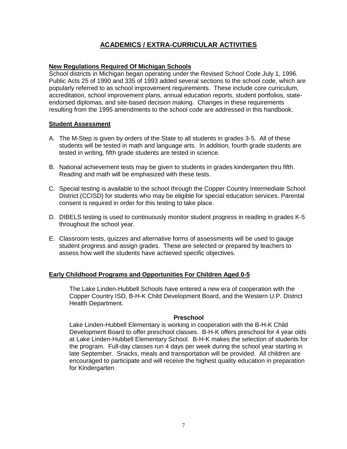# **ACADEMICS / EXTRA-CURRICULAR ACTIVITIES**

## **New Regulations Required Of Michigan Schools**

School districts in Michigan began operating under the Revised School Code July 1, 1996. Public Acts 25 of 1990 and 335 of 1993 added several sections to the school code, which are popularly referred to as school improvement requirements. These include core curriculum, accreditation, school improvement plans, annual education reports, student portfolios, stateendorsed diplomas, and site-based decision making. Changes in these requirements resulting from the 1995 amendments to the school code are addressed in this handbook.

#### **Student Assessment**

- A. The M-Step is given by orders of the State to all students in grades 3-5. All of these students will be tested in math and language arts. In addition, fourth grade students are tested in writing, fifth grade students are tested in science.
- B. National achievement tests may be given to students in grades kindergarten thru fifth. Reading and math will be emphasized with these tests.
- C. Special testing is available to the school through the Copper Country Intermediate School District (CCISD) for students who may be eligible for special education services. Parental consent is required in order for this testing to take place.
- D. DIBELS testing is used to continuously monitor student progress in reading in grades K-5 throughout the school year.
- E. Classroom tests, quizzes and alternative forms of assessments will be used to gauge student progress and assign grades. These are selected or prepared by teachers to assess how well the students have achieved specific objectives.

## **Early Childhood Programs and Opportunities For Children Aged 0-5**

The Lake Linden-Hubbell Schools have entered a new era of cooperation with the Copper Country ISD, B-H-K Child Development Board, and the Western U.P. District Health Department.

#### **Preschool**

Lake Linden-Hubbell Elementary is working in cooperation with the B-H-K Child Development Board to offer preschool classes. B-H-K offers preschool for 4 year olds at Lake Linden-Hubbell Elementary School. B-H-K makes the selection of students for the program. Full-day classes run 4 days per week during the school year starting in late September. Snacks, meals and transportation will be provided. All children are encouraged to participate and will receive the highest quality education in preparation for Kindergarten.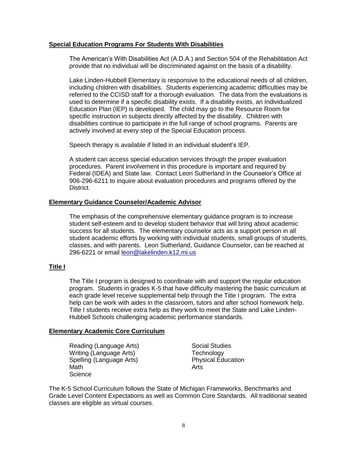#### **Special Education Programs For Students With Disabilities**

The American's With Disabilities Act (A.D.A.) and Section 504 of the Rehabilitation Act provide that no individual will be discriminated against on the basis of a disability.

Lake Linden-Hubbell Elementary is responsive to the educational needs of all children, including children with disabilities. Students experiencing academic difficulties may be referred to the CCISD staff for a thorough evaluation. The data from the evaluations is used to determine if a specific disability exists. If a disability exists, an Individualized Education Plan (IEP) is developed. The child may go to the Resource Room for specific instruction in subjects directly affected by the disability. Children with disabilities continue to participate in the full range of school programs. Parents are actively involved at every step of the Special Education process.

Speech therapy is available if listed in an individual student's IEP.

A student can access special education services through the proper evaluation procedures. Parent involvement in this procedure is important and required by Federal (IDEA) and State law. Contact Leon Sutherland in the Counselor's Office at 906-296-6211 to inquire about evaluation procedures and programs offered by the District.

#### **Elementary Guidance Counselor/Academic Advisor**

The emphasis of the comprehensive elementary guidance program is to increase student self-esteem and to develop student behavior that will bring about academic success for all students. The elementary counselor acts as a support person in all student academic efforts by working with individual students, small groups of students, classes, and with parents. Leon Sutherland, Guidance Counselor, can be reached at 296-6221 or email [leon@lakelinden.k12.mi.us](mailto:leon@lakelinden.k12.mi.us)

## **Title I**

The Title I program is designed to coordinate with and support the regular education program. Students in grades K-5 that have difficulty mastering the basic curriculum at each grade level receive supplemental help through the Title I program. The extra help can be work with aides in the classroom, tutors and after school homework help. Title I students receive extra help as they work to meet the State and Lake Linden-Hubbell Schools challenging academic performance standards.

#### **Elementary Academic Core Curriculum**

Reading (Language Arts) Social Studies Writing (Language Arts) Technology Spelling (Language Arts) Physical Education Math **Math** Arts **Science** 

The K-5 School Curriculum follows the State of Michigan Frameworks, Benchmarks and Grade Level Content Expectations as well as Common Core Standards. All traditional seated classes are eligible as virtual courses.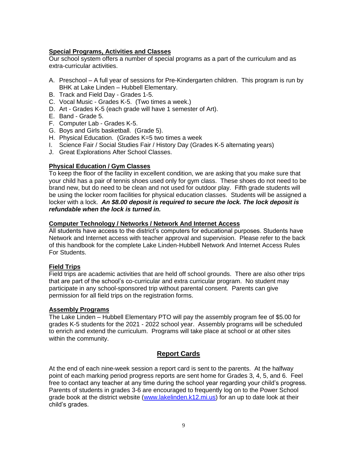## **Special Programs, Activities and Classes**

Our school system offers a number of special programs as a part of the curriculum and as extra-curricular activities.

- A. Preschool A full year of sessions for Pre-Kindergarten children. This program is run by BHK at Lake Linden – Hubbell Elementary.
- B. Track and Field Day Grades 1-5.
- C. Vocal Music Grades K-5. (Two times a week.)
- D. Art Grades K-5 (each grade will have 1 semester of Art).
- E. Band Grade 5.
- F. Computer Lab Grades K-5.
- G. Boys and Girls basketball. (Grade 5).
- H. Physical Education. (Grades K=5 two times a week
- I. Science Fair / Social Studies Fair / History Day (Grades K-5 alternating years)
- J. Great Explorations After School Classes.

## **Physical Education / Gym Classes**

To keep the floor of the facility in excellent condition, we are asking that you make sure that your child has a pair of tennis shoes used only for gym class. These shoes do not need to be brand new, but do need to be clean and not used for outdoor play. Fifth grade students will be using the locker room facilities for physical education classes. Students will be assigned a locker with a lock. *An \$8.00 deposit is required to secure the lock. The lock deposit is refundable when the lock is turned in.*

## **Computer Technology / Networks / Network And Internet Access**

All students have access to the district's computers for educational purposes. Students have Network and Internet access with teacher approval and supervision. Please refer to the back of this handbook for the complete Lake Linden-Hubbell Network And Internet Access Rules For Students.

## **Field Trips**

Field trips are academic activities that are held off school grounds. There are also other trips that are part of the school's co-curricular and extra curricular program. No student may participate in any school-sponsored trip without parental consent. Parents can give permission for all field trips on the registration forms.

## **Assembly Programs**

The Lake Linden – Hubbell Elementary PTO will pay the assembly program fee of \$5.00 for grades K-5 students for the 2021 - 2022 school year. Assembly programs will be scheduled to enrich and extend the curriculum. Programs will take place at school or at other sites within the community.

## **Report Cards**

At the end of each nine-week session a report card is sent to the parents. At the halfway point of each marking period progress reports are sent home for Grades 3, 4, 5, and 6. Feel free to contact any teacher at any time during the school year regarding your child's progress. Parents of students in grades 3-6 are encouraged to frequently log on to the Power School grade book at the district website [\(www.lakelinden.k12.mi.us\)](http://www.lakelinden.k12.mi.us/) for an up to date look at their child's grades.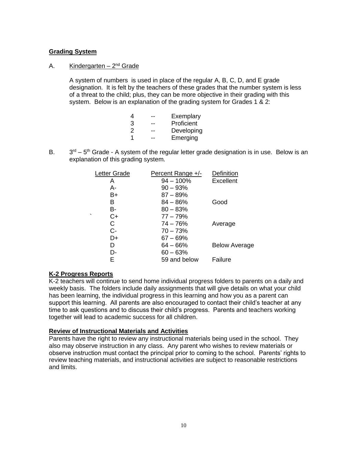## **Grading System**

## A. Kindergarten – 2<sup>nd</sup> Grade

A system of numbers is used in place of the regular A, B, C, D, and E grade designation. It is felt by the teachers of these grades that the number system is less of a threat to the child; plus, they can be more objective in their grading with this system. Below is an explanation of the grading system for Grades 1 & 2:

| 4 | Exemplary  |
|---|------------|
| 3 | Proficient |
| 2 | Developing |
| 1 | Emerging   |

**B.**  $r<sup>d</sup>$  – 5<sup>th</sup> Grade - A system of the regular letter grade designation is in use. Below is an explanation of this grading system.

| Letter Grade    | Percent Range +/- | Definition           |
|-----------------|-------------------|----------------------|
| Α               | $94 - 100\%$      | <b>Excellent</b>     |
| А-              | $90 - 93%$        |                      |
| B+              | $87 - 89%$        |                      |
| B               | $84 - 86%$        | Good                 |
| B-              | $80 - 83%$        |                      |
| $\cdot$<br>$C+$ | $77 - 79%$        |                      |
| С               | $74 - 76%$        | Average              |
| C-              | $70 - 73%$        |                      |
| D+              | $67 - 69%$        |                      |
| D               | $64 - 66%$        | <b>Below Average</b> |
| D-              | $60 - 63%$        |                      |
| E               | 59 and below      | Failure              |
|                 |                   |                      |

## **K-2 Progress Reports**

K-2 teachers will continue to send home individual progress folders to parents on a daily and weekly basis. The folders include daily assignments that will give details on what your child has been learning, the individual progress in this learning and how you as a parent can support this learning. All parents are also encouraged to contact their child's teacher at any time to ask questions and to discuss their child's progress. Parents and teachers working together will lead to academic success for all children.

#### **Review of Instructional Materials and Activities**

Parents have the right to review any instructional materials being used in the school. They also may observe instruction in any class. Any parent who wishes to review materials or observe instruction must contact the principal prior to coming to the school. Parents' rights to review teaching materials, and instructional activities are subject to reasonable restrictions and limits.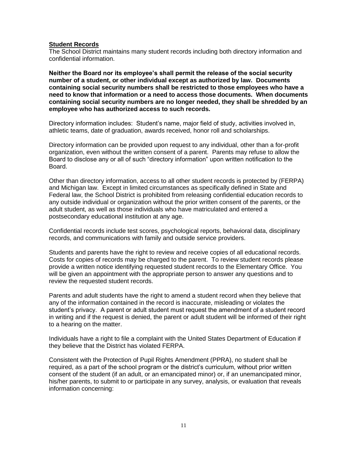#### **Student Records**

The School District maintains many student records including both directory information and confidential information.

**Neither the Board nor its employee's shall permit the release of the social security number of a student, or other individual except as authorized by law. Documents containing social security numbers shall be restricted to those employees who have a need to know that information or a need to access those documents. When documents containing social security numbers are no longer needed, they shall be shredded by an employee who has authorized access to such records.**

Directory information includes: Student's name, major field of study, activities involved in, athletic teams, date of graduation, awards received, honor roll and scholarships.

Directory information can be provided upon request to any individual, other than a for-profit organization, even without the written consent of a parent. Parents may refuse to allow the Board to disclose any or all of such "directory information" upon written notification to the Board.

Other than directory information, access to all other student records is protected by (FERPA) and Michigan law. Except in limited circumstances as specifically defined in State and Federal law, the School District is prohibited from releasing confidential education records to any outside individual or organization without the prior written consent of the parents, or the adult student, as well as those individuals who have matriculated and entered a postsecondary educational institution at any age.

Confidential records include test scores, psychological reports, behavioral data, disciplinary records, and communications with family and outside service providers.

Students and parents have the right to review and receive copies of all educational records. Costs for copies of records may be charged to the parent. To review student records please provide a written notice identifying requested student records to the Elementary Office. You will be given an appointment with the appropriate person to answer any questions and to review the requested student records.

Parents and adult students have the right to amend a student record when they believe that any of the information contained in the record is inaccurate, misleading or violates the student's privacy. A parent or adult student must request the amendment of a student record in writing and if the request is denied, the parent or adult student will be informed of their right to a hearing on the matter.

Individuals have a right to file a complaint with the United States Department of Education if they believe that the District has violated FERPA.

Consistent with the Protection of Pupil Rights Amendment (PPRA), no student shall be required, as a part of the school program or the district's curriculum, without prior written consent of the student (if an adult, or an emancipated minor) or, if an unemancipated minor, his/her parents, to submit to or participate in any survey, analysis, or evaluation that reveals information concerning: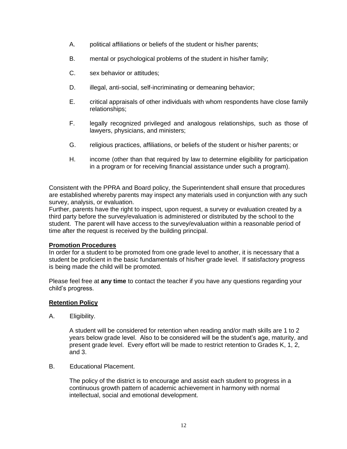- A. political affiliations or beliefs of the student or his/her parents;
- B. mental or psychological problems of the student in his/her family;
- C. sex behavior or attitudes;
- D. illegal, anti-social, self-incriminating or demeaning behavior;
- E. critical appraisals of other individuals with whom respondents have close family relationships;
- F. legally recognized privileged and analogous relationships, such as those of lawyers, physicians, and ministers;
- G. religious practices, affiliations, or beliefs of the student or his/her parents; or
- H. income (other than that required by law to determine eligibility for participation in a program or for receiving financial assistance under such a program).

Consistent with the PPRA and Board policy, the Superintendent shall ensure that procedures are established whereby parents may inspect any materials used in conjunction with any such survey, analysis, or evaluation.

Further, parents have the right to inspect, upon request, a survey or evaluation created by a third party before the survey/evaluation is administered or distributed by the school to the student. The parent will have access to the survey/evaluation within a reasonable period of time after the request is received by the building principal.

## **Promotion Procedures**

In order for a student to be promoted from one grade level to another, it is necessary that a student be proficient in the basic fundamentals of his/her grade level. If satisfactory progress is being made the child will be promoted.

Please feel free at **any time** to contact the teacher if you have any questions regarding your child's progress.

## **Retention Policy**

A. Eligibility.

A student will be considered for retention when reading and/or math skills are 1 to 2 years below grade level. Also to be considered will be the student's age, maturity, and present grade level. Every effort will be made to restrict retention to Grades K, 1, 2, and 3.

B. Educational Placement.

The policy of the district is to encourage and assist each student to progress in a continuous growth pattern of academic achievement in harmony with normal intellectual, social and emotional development.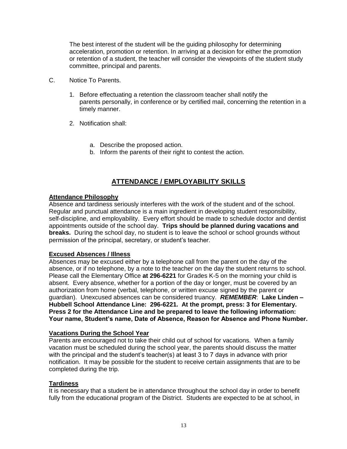The best interest of the student will be the guiding philosophy for determining acceleration, promotion or retention. In arriving at a decision for either the promotion or retention of a student, the teacher will consider the viewpoints of the student study committee, principal and parents.

- C. Notice To Parents.
	- 1. Before effectuating a retention the classroom teacher shall notify the parents personally, in conference or by certified mail, concerning the retention in a timely manner.
	- 2. Notification shall:
		- a. Describe the proposed action.
		- b. Inform the parents of their right to contest the action.

# **ATTENDANCE / EMPLOYABILITY SKILLS**

#### **Attendance Philosophy**

Absence and tardiness seriously interferes with the work of the student and of the school. Regular and punctual attendance is a main ingredient in developing student responsibility, self-discipline, and employability. Every effort should be made to schedule doctor and dentist appointments outside of the school day. **Trips should be planned during vacations and breaks.** During the school day, no student is to leave the school or school grounds without permission of the principal, secretary, or student's teacher.

## **Excused Absences / Illness**

Absences may be excused either by a telephone call from the parent on the day of the absence, or if no telephone, by a note to the teacher on the day the student returns to school. Please call the Elementary Office **at 296-6221** for Grades K-5 on the morning your child is absent. Every absence, whether for a portion of the day or longer, must be covered by an authorization from home (verbal, telephone, or written excuse signed by the parent or guardian). Unexcused absences can be considered truancy. *REMEMBER*: **Lake Linden – Hubbell School Attendance Line: 296-6221. At the prompt, press: 3 for Elementary. Press 2 for the Attendance Line and be prepared to leave the following information: Your name, Student's name, Date of Absence, Reason for Absence and Phone Number.** 

#### **Vacations During the School Year**

Parents are encouraged not to take their child out of school for vacations. When a family vacation must be scheduled during the school year, the parents should discuss the matter with the principal and the student's teacher(s) at least 3 to 7 days in advance with prior notification. It may be possible for the student to receive certain assignments that are to be completed during the trip.

## **Tardiness**

It is necessary that a student be in attendance throughout the school day in order to benefit fully from the educational program of the District. Students are expected to be at school, in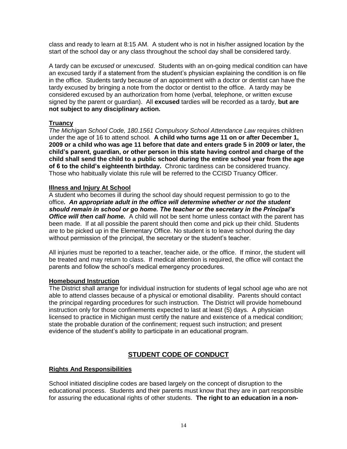class and ready to learn at 8:15 AM. A student who is not in his/her assigned location by the start of the school day or any class throughout the school day shall be considered tardy.

A tardy can be *excused* or *unexcused*. Students with an on-going medical condition can have an excused tardy if a statement from the student's physician explaining the condition is on file in the office. Students tardy because of an appointment with a doctor or dentist can have the tardy excused by bringing a note from the doctor or dentist to the office. A tardy may be considered excused by an authorization from home (verbal, telephone, or written excuse signed by the parent or guardian). All **excused** tardies will be recorded as a tardy, **but are not subject to any disciplinary action.**

## **Truancy**

*The Michigan School Code, 180.1561 Compulsory School Attendance Law* requires children under the age of 16 to attend school. **A child who turns age 11 on or after December 1, 2009 or a child who was age 11 before that date and enters grade 5 in 2009 or later, the child's parent, guardian, or other person in this state having control and charge of the child shall send the child to a public school during the entire school year from the age of 6 to the child's eighteenth birthday.** Chronic tardiness can be considered truancy. Those who habitually violate this rule will be referred to the CCISD Truancy Officer.

#### **Illness and Injury At School**

A student who becomes ill during the school day should request permission to go to the office*. An appropriate adult in the office will determine whether or not the student should remain in school or go home. The teacher or the secretary in the Principal's Office will then call home.* A child will not be sent home unless contact with the parent has been made. If at all possible the parent should then come and pick up their child. Students are to be picked up in the Elementary Office. No student is to leave school during the day without permission of the principal, the secretary or the student's teacher.

All injuries must be reported to a teacher, teacher aide, or the office. If minor, the student will be treated and may return to class. If medical attention is required, the office will contact the parents and follow the school's medical emergency procedures.

#### **Homebound Instruction**

The District shall arrange for individual instruction for students of legal school age who are not able to attend classes because of a physical or emotional disability. Parents should contact the principal regarding procedures for such instruction. The District will provide homebound instruction only for those confinements expected to last at least (5) days. A physician licensed to practice in Michigan must certify the nature and existence of a medical condition; state the probable duration of the confinement; request such instruction; and present evidence of the student's ability to participate in an educational program.

# **STUDENT CODE OF CONDUCT**

## **Rights And Responsibilities**

School initiated discipline codes are based largely on the concept of disruption to the educational process. Students and their parents must know that they are in part responsible for assuring the educational rights of other students. **The right to an education in a non-**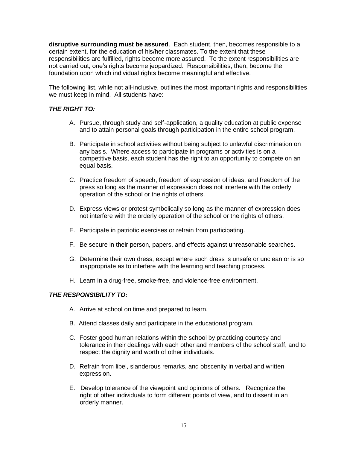**disruptive surrounding must be assured**. Each student, then, becomes responsible to a certain extent, for the education of his/her classmates. To the extent that these responsibilities are fulfilled, rights become more assured. To the extent responsibilities are not carried out, one's rights become jeopardized. Responsibilities, then, become the foundation upon which individual rights become meaningful and effective.

The following list, while not all-inclusive, outlines the most important rights and responsibilities we must keep in mind. All students have:

## *THE RIGHT TO:*

- A. Pursue, through study and self-application, a quality education at public expense and to attain personal goals through participation in the entire school program.
- B. Participate in school activities without being subject to unlawful discrimination on any basis. Where access to participate in programs or activities is on a competitive basis, each student has the right to an opportunity to compete on an equal basis.
- C. Practice freedom of speech, freedom of expression of ideas, and freedom of the press so long as the manner of expression does not interfere with the orderly operation of the school or the rights of others.
- D. Express views or protest symbolically so long as the manner of expression does not interfere with the orderly operation of the school or the rights of others.
- E. Participate in patriotic exercises or refrain from participating.
- F. Be secure in their person, papers, and effects against unreasonable searches.
- G. Determine their own dress, except where such dress is unsafe or unclean or is so inappropriate as to interfere with the learning and teaching process.
- H. Learn in a drug-free, smoke-free, and violence-free environment.

## *THE RESPONSIBILITY TO:*

- A. Arrive at school on time and prepared to learn.
- B. Attend classes daily and participate in the educational program.
- C. Foster good human relations within the school by practicing courtesy and tolerance in their dealings with each other and members of the school staff, and to respect the dignity and worth of other individuals.
- D. Refrain from libel, slanderous remarks, and obscenity in verbal and written expression.
- E. Develop tolerance of the viewpoint and opinions of others. Recognize the right of other individuals to form different points of view, and to dissent in an orderly manner.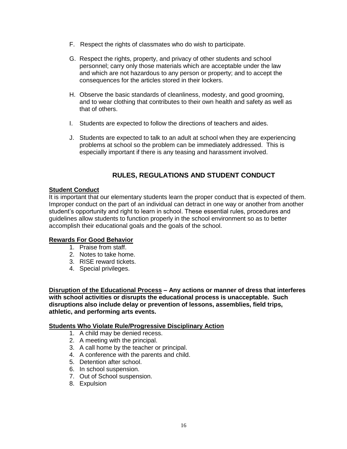- F. Respect the rights of classmates who do wish to participate.
- G. Respect the rights, property, and privacy of other students and school personnel; carry only those materials which are acceptable under the law and which are not hazardous to any person or property; and to accept the consequences for the articles stored in their lockers.
- H. Observe the basic standards of cleanliness, modesty, and good grooming, and to wear clothing that contributes to their own health and safety as well as that of others.
- I. Students are expected to follow the directions of teachers and aides.
- J. Students are expected to talk to an adult at school when they are experiencing problems at school so the problem can be immediately addressed. This is especially important if there is any teasing and harassment involved.

# **RULES, REGULATIONS AND STUDENT CONDUCT**

## **Student Conduct**

It is important that our elementary students learn the proper conduct that is expected of them. Improper conduct on the part of an individual can detract in one way or another from another student's opportunity and right to learn in school. These essential rules, procedures and guidelines allow students to function properly in the school environment so as to better accomplish their educational goals and the goals of the school.

## **Rewards For Good Behavior**

- 1. Praise from staff.
- 2. Notes to take home.
- 3. RISE reward tickets.
- 4. Special privileges.

**Disruption of the Educational Process – Any actions or manner of dress that interferes with school activities or disrupts the educational process is unacceptable. Such disruptions also include delay or prevention of lessons, assemblies, field trips, athletic, and performing arts events.**

#### **Students Who Violate Rule/Progressive Disciplinary Action**

- 1. A child may be denied recess.
- 2. A meeting with the principal.
- 3. A call home by the teacher or principal.
- 4. A conference with the parents and child.
- 5. Detention after school.
- 6. In school suspension.
- 7. Out of School suspension.
- 8. Expulsion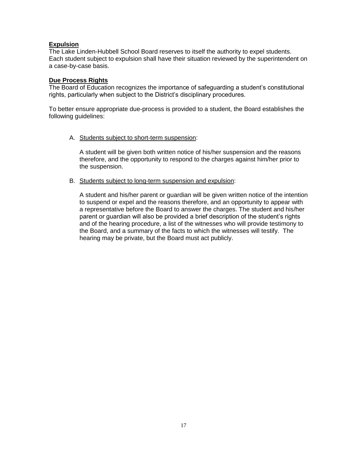## **Expulsion**

The Lake Linden-Hubbell School Board reserves to itself the authority to expel students. Each student subject to expulsion shall have their situation reviewed by the superintendent on a case-by-case basis.

#### **Due Process Rights**

The Board of Education recognizes the importance of safeguarding a student's constitutional rights, particularly when subject to the District's disciplinary procedures.

To better ensure appropriate due-process is provided to a student, the Board establishes the following guidelines:

A. Students subject to short-term suspension:

A student will be given both written notice of his/her suspension and the reasons therefore, and the opportunity to respond to the charges against him/her prior to the suspension.

B. Students subject to long-term suspension and expulsion:

A student and his/her parent or guardian will be given written notice of the intention to suspend or expel and the reasons therefore, and an opportunity to appear with a representative before the Board to answer the charges. The student and his/her parent or guardian will also be provided a brief description of the student's rights and of the hearing procedure, a list of the witnesses who will provide testimony to the Board, and a summary of the facts to which the witnesses will testify. The hearing may be private, but the Board must act publicly.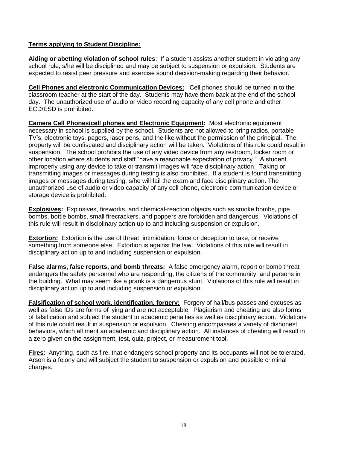## **Terms applying to Student Discipline:**

**Aiding or abetting violation of school rules**: If a student assists another student in violating any school rule, s/he will be disciplined and may be subject to suspension or expulsion. Students are expected to resist peer pressure and exercise sound decision-making regarding their behavior.

**Cell Phones and electronic Communication Devices:** Cell phones should be turned in to the classroom teacher at the start of the day. Students may have them back at the end of the school day. The unauthorized use of audio or video recording capacity of any cell phone and other ECD/ESD is prohibited.

**Camera Cell Phones/cell phones and Electronic Equipment:** Most electronic equipment necessary in school is supplied by the school. Students are not allowed to bring radios, portable TV's, electronic toys, pagers, laser pens, and the like without the permission of the principal. The property will be confiscated and disciplinary action will be taken. Violations of this rule could result in suspension. The school prohibits the use of any video device from any restroom, locker room or other location where students and staff "have a reasonable expectation of privacy." A student improperly using any device to take or transmit images will face disciplinary action. Taking or transmitting images or messages during testing is also prohibited. If a student is found transmitting images or messages during testing, s/he will fail the exam and face disciplinary action. The unauthorized use of audio or video capacity of any cell phone, electronic communication device or storage device is prohibited.

**Explosives:** Explosives, fireworks, and chemical-reaction objects such as smoke bombs, pipe bombs, bottle bombs, small firecrackers, and poppers are forbidden and dangerous. Violations of this rule will result in disciplinary action up to and including suspension or expulsion.

**Extortion:** Extortion is the use of threat, intimidation, force or deception to take, or receive something from someone else. Extortion is against the law. Violations of this rule will result in disciplinary action up to and including suspension or expulsion.

**False alarms, false reports, and bomb threats:** A false emergency alarm, report or bomb threat endangers the safety personnel who are responding, the citizens of the community, and persons in the building. What may seem like a prank is a dangerous stunt. Violations of this rule will result in disciplinary action up to and including suspension or expulsion.

**Falsification of school work, identification, forgery:** Forgery of hall/bus passes and excuses as well as false IDs are forms of lying and are not acceptable. Plagiarism and cheating are also forms of falsification and subject the student to academic penalties as well as disciplinary action. Violations of this rule could result in suspension or expulsion. Cheating encompasses a variety of dishonest behaviors, which all merit an academic and disciplinary action. All instances of cheating will result in a zero given on the assignment, test, quiz, project, or measurement tool.

**Fires**: Anything, such as fire, that endangers school property and its occupants will not be tolerated. Arson is a felony and will subject the student to suspension or expulsion and possible criminal charges.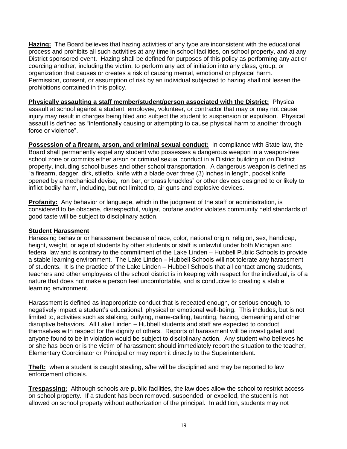**Hazing:** The Board believes that hazing activities of any type are inconsistent with the educational process and prohibits all such activities at any time in school facilities, on school property, and at any District sponsored event. Hazing shall be defined for purposes of this policy as performing any act or coercing another, including the victim, to perform any act of initiation into any class, group, or organization that causes or creates a risk of causing mental, emotional or physical harm. Permission, consent, or assumption of risk by an individual subjected to hazing shall not lessen the prohibitions contained in this policy.

**Physically assaulting a staff member/student/person associated with the District:** Physical assault at school against a student, employee, volunteer, or contractor that may or may not cause injury may result in charges being filed and subject the student to suspension or expulsion. Physical assault is defined as "intentionally causing or attempting to cause physical harm to another through force or violence".

**Possession of a firearm, arson, and criminal sexual conduct:** In compliance with State law, the Board shall permanently expel any student who possesses a dangerous weapon in a weapon-free school zone or commits either arson or criminal sexual conduct in a District building or on District property, including school buses and other school transportation. A dangerous weapon is defined as "a firearm, dagger, dirk, stiletto, knife with a blade over three (3) inches in length, pocket knife opened by a mechanical devise, iron bar, or brass knuckles" or other devices designed to or likely to inflict bodily harm, including, but not limited to, air guns and explosive devices.

**Profanity:** Any behavior or language, which in the judgment of the staff or administration, is considered to be obscene, disrespectful, vulgar, profane and/or violates community held standards of good taste will be subject to disciplinary action.

## **Student Harassment**

Harassing behavior or harassment because of race, color, national origin, religion, sex, handicap, height, weight, or age of students by other students or staff is unlawful under both Michigan and federal law and is contrary to the commitment of the Lake Linden – Hubbell Public Schools to provide a stable learning environment. The Lake Linden – Hubbell Schools will not tolerate any harassment of students. It is the practice of the Lake Linden – Hubbell Schools that all contact among students, teachers and other employees of the school district is in keeping with respect for the individual, is of a nature that does not make a person feel uncomfortable, and is conducive to creating a stable learning environment.

Harassment is defined as inappropriate conduct that is repeated enough, or serious enough, to negatively impact a student's educational, physical or emotional well-being. This includes, but is not limited to, activities such as stalking, bullying, name-calling, taunting, hazing, demeaning and other disruptive behaviors. All Lake Linden – Hubbell students and staff are expected to conduct themselves with respect for the dignity of others. Reports of harassment will be investigated and anyone found to be in violation would be subject to disciplinary action. Any student who believes he or she has been or is the victim of harassment should immediately report the situation to the teacher, Elementary Coordinator or Principal or may report it directly to the Superintendent.

**Theft:** when a student is caught stealing, s/he will be disciplined and may be reported to law enforcement officials.

**Trespassing:** Although schools are public facilities, the law does allow the school to restrict access on school property. If a student has been removed, suspended, or expelled, the student is not allowed on school property without authorization of the principal. In addition, students may not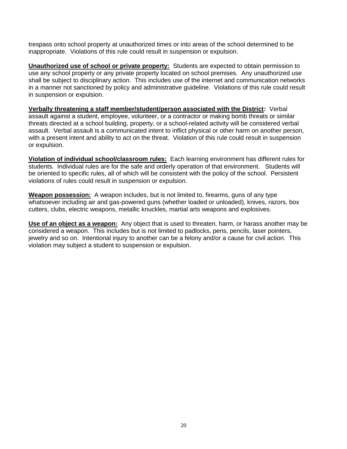trespass onto school property at unauthorized times or into areas of the school determined to be inappropriate. Violations of this rule could result in suspension or expulsion.

**Unauthorized use of school or private property:** Students are expected to obtain permission to use any school property or any private property located on school premises. Any unauthorized use shall be subject to disciplinary action. This includes use of the internet and communication networks in a manner not sanctioned by policy and administrative guideline. Violations of this rule could result in suspension or expulsion.

**Verbally threatening a staff member/student/person associated with the District:** Verbal assault against a student, employee, volunteer, or a contractor or making bomb threats or similar threats directed at a school building, property, or a school-related activity will be considered verbal assault. Verbal assault is a communicated intent to inflict physical or other harm on another person, with a present intent and ability to act on the threat. Violation of this rule could result in suspension or expulsion.

**Violation of individual school/classroom rules:** Each learning environment has different rules for students. Individual rules are for the safe and orderly operation of that environment. Students will be oriented to specific rules, all of which will be consistent with the policy of the school. Persistent violations of rules could result in suspension or expulsion.

**Weapon possession:** A weapon includes, but is not limited to, firearms, guns of any type whatsoever including air and gas-powered guns (whether loaded or unloaded), knives, razors, box cutters, clubs, electric weapons, metallic knuckles, martial arts weapons and explosives.

**Use of an object as a weapon:** Any object that is used to threaten, harm, or harass another may be considered a weapon. This includes but is not limited to padlocks, pens, pencils, laser pointers, jewelry and so on. Intentional injury to another can be a felony and/or a cause for civil action. This violation may subject a student to suspension or expulsion.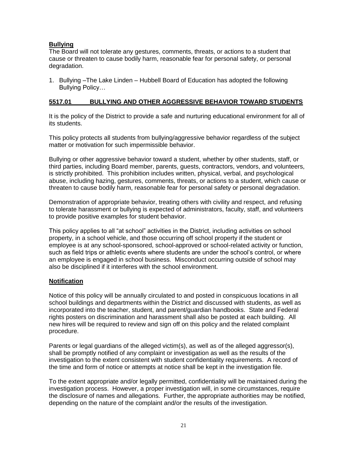## **Bullying**

The Board will not tolerate any gestures, comments, threats, or actions to a student that cause or threaten to cause bodily harm, reasonable fear for personal safety, or personal degradation.

1. Bullying –The Lake Linden – Hubbell Board of Education has adopted the following Bullying Policy…

#### **5517.01 BULLYING AND OTHER AGGRESSIVE BEHAVIOR TOWARD STUDENTS**

It is the policy of the District to provide a safe and nurturing educational environment for all of its students.

This policy protects all students from bullying/aggressive behavior regardless of the subject matter or motivation for such impermissible behavior.

Bullying or other aggressive behavior toward a student, whether by other students, staff, or third parties, including Board member, parents, guests, contractors, vendors, and volunteers, is strictly prohibited. This prohibition includes written, physical, verbal, and psychological abuse, including hazing, gestures, comments, threats, or actions to a student, which cause or threaten to cause bodily harm, reasonable fear for personal safety or personal degradation.

Demonstration of appropriate behavior, treating others with civility and respect, and refusing to tolerate harassment or bullying is expected of administrators, faculty, staff, and volunteers to provide positive examples for student behavior.

This policy applies to all "at school" activities in the District, including activities on school property, in a school vehicle, and those occurring off school property if the student or employee is at any school-sponsored, school-approved or school-related activity or function, such as field trips or athletic events where students are under the school's control, or where an employee is engaged in school business. Misconduct occurring outside of school may also be disciplined if it interferes with the school environment.

## **Notification**

Notice of this policy will be annually circulated to and posted in conspicuous locations in all school buildings and departments within the District and discussed with students, as well as incorporated into the teacher, student, and parent/guardian handbooks. State and Federal rights posters on discrimination and harassment shall also be posted at each building. All new hires will be required to review and sign off on this policy and the related complaint procedure.

Parents or legal guardians of the alleged victim(s), as well as of the alleged aggressor(s), shall be promptly notified of any complaint or investigation as well as the results of the investigation to the extent consistent with student confidentiality requirements. A record of the time and form of notice or attempts at notice shall be kept in the investigation file.

To the extent appropriate and/or legally permitted, confidentiality will be maintained during the investigation process. However, a proper investigation will, in some circumstances, require the disclosure of names and allegations. Further, the appropriate authorities may be notified, depending on the nature of the complaint and/or the results of the investigation.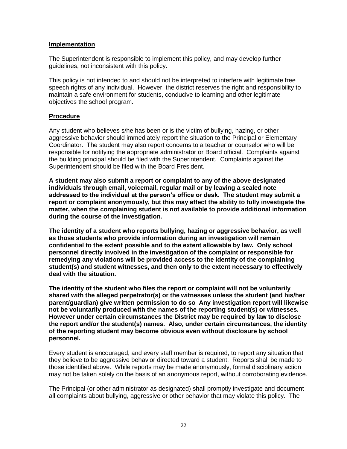#### **Implementation**

The Superintendent is responsible to implement this policy, and may develop further guidelines, not inconsistent with this policy.

This policy is not intended to and should not be interpreted to interfere with legitimate free speech rights of any individual. However, the district reserves the right and responsibility to maintain a safe environment for students, conducive to learning and other legitimate objectives the school program.

#### **Procedure**

Any student who believes s/he has been or is the victim of bullying, hazing, or other aggressive behavior should immediately report the situation to the Principal or Elementary Coordinator. The student may also report concerns to a teacher or counselor who will be responsible for notifying the appropriate administrator or Board official. Complaints against the building principal should be filed with the Superintendent. Complaints against the Superintendent should be filed with the Board President.

**A student may also submit a report or complaint to any of the above designated individuals through email, voicemail, regular mail or by leaving a sealed note addressed to the individual at the person's office or desk. The student may submit a report or complaint anonymously, but this may affect the ability to fully investigate the matter, when the complaining student is not available to provide additional information during the course of the investigation.**

**The identity of a student who reports bullying, hazing or aggressive behavior, as well as those students who provide information during an investigation will remain confidential to the extent possible and to the extent allowable by law. Only school personnel directly involved in the investigation of the complaint or responsible for remedying any violations will be provided access to the identity of the complaining student(s) and student witnesses, and then only to the extent necessary to effectively deal with the situation.**

**The identity of the student who files the report or complaint will not be voluntarily shared with the alleged perpetrator(s) or the witnesses unless the student (and his/her parent/guardian) give written permission to do so Any investigation report will likewise not be voluntarily produced with the names of the reporting student(s) or witnesses. However under certain circumstances the District may be required by law to disclose the report and/or the student(s) names. Also, under certain circumstances, the identity of the reporting student may become obvious even without disclosure by school personnel.** 

Every student is encouraged, and every staff member is required, to report any situation that they believe to be aggressive behavior directed toward a student. Reports shall be made to those identified above. While reports may be made anonymously, formal disciplinary action may not be taken solely on the basis of an anonymous report, without corroborating evidence.

The Principal (or other administrator as designated) shall promptly investigate and document all complaints about bullying, aggressive or other behavior that may violate this policy. The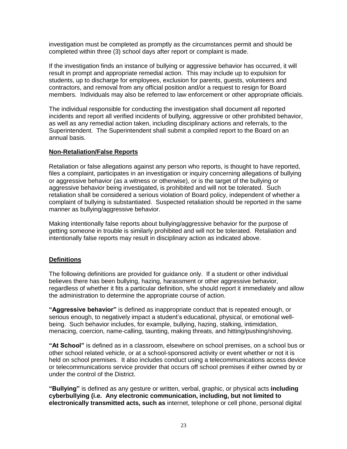investigation must be completed as promptly as the circumstances permit and should be completed within three (3) school days after report or complaint is made.

If the investigation finds an instance of bullying or aggressive behavior has occurred, it will result in prompt and appropriate remedial action. This may include up to expulsion for students, up to discharge for employees, exclusion for parents, guests, volunteers and contractors, and removal from any official position and/or a request to resign for Board members. Individuals may also be referred to law enforcement or other appropriate officials.

The individual responsible for conducting the investigation shall document all reported incidents and report all verified incidents of bullying, aggressive or other prohibited behavior, as well as any remedial action taken, including disciplinary actions and referrals, to the Superintendent. The Superintendent shall submit a compiled report to the Board on an annual basis.

## **Non-Retaliation/False Reports**

Retaliation or false allegations against any person who reports, is thought to have reported, files a complaint, participates in an investigation or inquiry concerning allegations of bullying or aggressive behavior (as a witness or otherwise), or is the target of the bullying or aggressive behavior being investigated, is prohibited and will not be tolerated. Such retaliation shall be considered a serious violation of Board policy, independent of whether a complaint of bullying is substantiated. Suspected retaliation should be reported in the same manner as bullying/aggressive behavior.

Making intentionally false reports about bullying/aggressive behavior for the purpose of getting someone in trouble is similarly prohibited and will not be tolerated. Retaliation and intentionally false reports may result in disciplinary action as indicated above.

## **Definitions**

The following definitions are provided for guidance only. If a student or other individual believes there has been bullying, hazing, harassment or other aggressive behavior, regardless of whether it fits a particular definition, s/he should report it immediately and allow the administration to determine the appropriate course of action.

**"Aggressive behavior"** is defined as inappropriate conduct that is repeated enough, or serious enough, to negatively impact a student's educational, physical, or emotional wellbeing. Such behavior includes, for example, bullying, hazing, stalking, intimidation, menacing, coercion, name-calling, taunting, making threats, and hitting/pushing/shoving.

**"At School"** is defined as in a classroom, elsewhere on school premises, on a school bus or other school related vehicle, or at a school-sponsored activity or event whether or not it is held on school premises. It also includes conduct using a telecommunications access device or telecommunications service provider that occurs off school premises if either owned by or under the control of the District.

**"Bullying"** is defined as any gesture or written, verbal, graphic, or physical acts **including cyberbullying (i.e. Any electronic communication, including, but not limited to electronically transmitted acts, such as** internet, telephone or cell phone, personal digital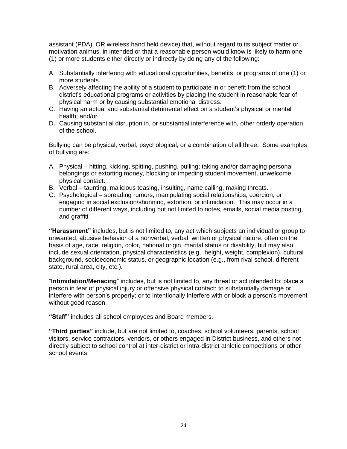assistant (PDA), OR wireless hand held device) that, without regard to its subject matter or motivation animus, in intended or that a reasonable person would know is likely to harm one (1) or more students either directly or indirectly by doing any of the following:

- A. Substantially interfering with educational opportunities, benefits, or programs of one (1) or more students.
- B. Adversely affecting the ability of a student to participate in or benefit from the school district's educational programs or activities by placing the student in reasonable fear of physical harm or by causing substantial emotional distress.
- C. Having an actual and substantial detrimental effect on a student's physical or mental health; and/or
- D. Causing substantial disruption in, or substantial interference with, other orderly operation of the school.

Bullying can be physical, verbal, psychological, or a combination of all three. Some examples of bullying are:

- A. Physical hitting, kicking, spitting, pushing, pulling; taking and/or damaging personal belongings or extorting money, blocking or impeding student movement, unwelcome physical contact.
- B. Verbal taunting, malicious teasing, insulting, name calling, making threats.
- C. Psychological spreading rumors, manipulating social relationships, coercion, or engaging in social exclusion/shunning, extortion, or intimidation. This may occur in a number of different ways, including but not limited to notes, emails, social media posting, and graffiti.

**"Harassment"** includes, but is not limited to, any act which subjects an individual or group to unwanted, abusive behavior of a nonverbal, verbal, written or physical nature, often on the basis of age, race, religion, color, national origin, marital status or disability, but may also include sexual orientation, physical characteristics (e.g., height, weight, complexion), cultural background, socioeconomic status, or geographic location (e.g., from rival school, different state, rural area, city, etc.).

"**Intimidation/Menacing**" includes, but is not limited to, any threat or act intended to: place a person in fear of physical injury or offensive physical contact; to substantially damage or interfere with person's property; or to intentionally interfere with or block a person's movement without good reason.

**"Staff"** includes all school employees and Board members.

**"Third parties"** include, but are not limited to, coaches, school volunteers, parents, school visitors, service contractors, vendors, or others engaged in District business, and others not directly subject to school control at inter-district or intra-district athletic competitions or other school events.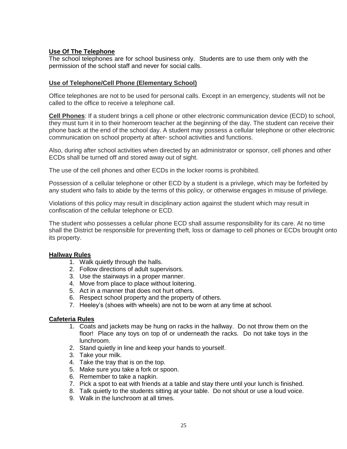## **Use Of The Telephone**

The school telephones are for school business only. Students are to use them only with the permission of the school staff and never for social calls.

#### **Use of Telephone/Cell Phone (Elementary School)**

Office telephones are not to be used for personal calls. Except in an emergency, students will not be called to the office to receive a telephone call.

**Cell Phones**: If a student brings a cell phone or other electronic communication device (ECD) to school, they must turn it in to their homeroom teacher at the beginning of the day. The student can receive their phone back at the end of the school day. A student may possess a cellular telephone or other electronic communication on school property at after- school activities and functions.

Also, during after school activities when directed by an administrator or sponsor, cell phones and other ECDs shall be turned off and stored away out of sight.

The use of the cell phones and other ECDs in the locker rooms is prohibited.

Possession of a cellular telephone or other ECD by a student is a privilege, which may be forfeited by any student who fails to abide by the terms of this policy, or otherwise engages in misuse of privilege.

Violations of this policy may result in disciplinary action against the student which may result in confiscation of the cellular telephone or ECD.

The student who possesses a cellular phone ECD shall assume responsibility for its care. At no time shall the District be responsible for preventing theft, loss or damage to cell phones or ECDs brought onto its property.

#### **Hallway Rules**

- 1. Walk quietly through the halls.
- 2. Follow directions of adult supervisors.
- 3. Use the stairways in a proper manner.
- 4. Move from place to place without loitering.
- 5. Act in a manner that does not hurt others.
- 6. Respect school property and the property of others.
- 7. Heeley's (shoes with wheels) are not to be worn at any time at school.

#### **Cafeteria Rules**

- 1. Coats and jackets may be hung on racks in the hallway. Do not throw them on the floor! Place any toys on top of or underneath the racks. Do not take toys in the lunchroom.
- 2. Stand quietly in line and keep your hands to yourself.
- 3. Take your milk.
- 4. Take the tray that is on the top.
- 5. Make sure you take a fork or spoon.
- 6. Remember to take a napkin.
- 7. Pick a spot to eat with friends at a table and stay there until your lunch is finished.
- 8. Talk quietly to the students sitting at your table. Do not shout or use a loud voice.
- 9. Walk in the lunchroom at all times.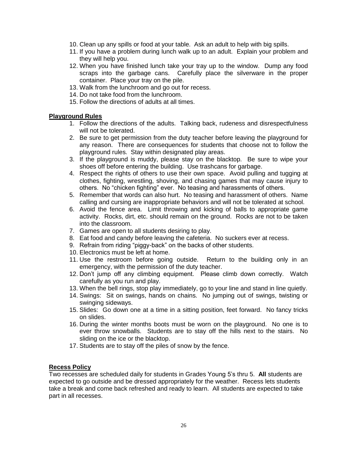- 10. Clean up any spills or food at your table. Ask an adult to help with big spills.
- 11. If you have a problem during lunch walk up to an adult. Explain your problem and they will help you.
- 12. When you have finished lunch take your tray up to the window. Dump any food scraps into the garbage cans. Carefully place the silverware in the proper container. Place your tray on the pile.
- 13. Walk from the lunchroom and go out for recess.
- 14. Do not take food from the lunchroom.
- 15. Follow the directions of adults at all times.

#### **Playground Rules**

- 1. Follow the directions of the adults. Talking back, rudeness and disrespectfulness will not be tolerated.
- 2. Be sure to get permission from the duty teacher before leaving the playground for any reason. There are consequences for students that choose not to follow the playground rules. Stay within designated play areas.
- 3. If the playground is muddy, please stay on the blacktop. Be sure to wipe your shoes off before entering the building. Use trashcans for garbage.
- 4. Respect the rights of others to use their own space. Avoid pulling and tugging at clothes, fighting, wrestling, shoving, and chasing games that may cause injury to others. No "chicken fighting" ever. No teasing and harassments of others.
- 5. Remember that words can also hurt. No teasing and harassment of others. Name calling and cursing are inappropriate behaviors and will not be tolerated at school.
- 6. Avoid the fence area. Limit throwing and kicking of balls to appropriate game activity. Rocks, dirt, etc. should remain on the ground. Rocks are not to be taken into the classroom.
- 7. Games are open to all students desiring to play.
- 8. Eat food and candy before leaving the cafeteria. No suckers ever at recess.
- 9. Refrain from riding "piggy-back" on the backs of other students.
- 10. Electronics must be left at home.
- 11. Use the restroom before going outside. Return to the building only in an emergency, with the permission of the duty teacher.
- 12. Don't jump off any climbing equipment. Please climb down correctly. Watch carefully as you run and play.
- 13. When the bell rings, stop play immediately, go to your line and stand in line quietly.
- 14. Swings: Sit on swings, hands on chains. No jumping out of swings, twisting or swinging sideways.
- 15. Slides: Go down one at a time in a sitting position, feet forward. No fancy tricks on slides.
- 16. During the winter months boots must be worn on the playground. No one is to ever throw snowballs. Students are to stay off the hills next to the stairs. No sliding on the ice or the blacktop.
- 17. Students are to stay off the piles of snow by the fence.

## **Recess Policy**

Two recesses are scheduled daily for students in Grades Young 5's thru 5. **All** students are expected to go outside and be dressed appropriately for the weather. Recess lets students take a break and come back refreshed and ready to learn. All students are expected to take part in all recesses.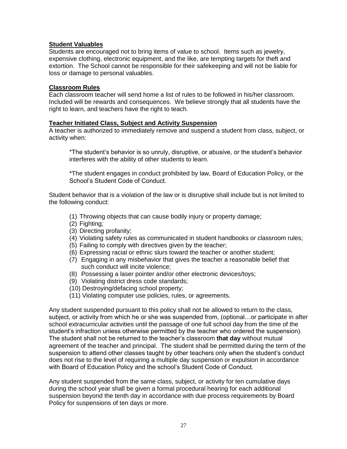#### **Student Valuables**

Students are encouraged not to bring items of value to school. Items such as jewelry, expensive clothing, electronic equipment, and the like, are tempting targets for theft and extortion. The School cannot be responsible for their safekeeping and will not be liable for loss or damage to personal valuables.

#### **Classroom Rules**

Each classroom teacher will send home a list of rules to be followed in his/her classroom. Included will be rewards and consequences. We believe strongly that all students have the right to learn, and teachers have the right to teach.

#### **Teacher Initiated Class, Subject and Activity Suspension**

A teacher is authorized to immediately remove and suspend a student from class, subject, or activity when:

\*The student's behavior is so unruly, disruptive, or abusive, or the student's behavior interferes with the ability of other students to learn.

\*The student engages in conduct prohibited by law, Board of Education Policy, or the School's Student Code of Conduct.

Student behavior that is a violation of the law or is disruptive shall include but is not limited to the following conduct:

- (1) Throwing objects that can cause bodily injury or property damage;
- (2) Fighting;
- (3) Directing profanity;
- (4) Violating safety rules as communicated in student handbooks or classroom rules;
- (5) Failing to comply with directives given by the teacher;
- (6) Expressing racial or ethnic slurs toward the teacher or another student;
- (7) Engaging in any misbehavior that gives the teacher a reasonable belief that such conduct will incite violence;
- (8) Possessing a laser pointer and/or other electronic devices/toys;
- (9) Violating district dress code standards;
- (10) Destroying/defacing school property;
- (11) Violating computer use policies, rules, or agreements.

Any student suspended pursuant to this policy shall not be allowed to return to the class, subject, or activity from which he or she was suspended from, (optional…or participate in after school extracurricular activities until the passage of one full school day from the time of the student's infraction unless otherwise permitted by the teacher who ordered the suspension). The student shall not be returned to the teacher's classroom **that day** without mutual agreement of the teacher and principal. The student shall be permitted during the term of the suspension to attend other classes taught by other teachers only when the student's conduct does not rise to the level of requiring a multiple day suspension or expulsion in accordance with Board of Education Policy and the school's Student Code of Conduct.

Any student suspended from the same class, subject, or activity for ten cumulative days during the school year shall be given a formal procedural hearing for each additional suspension beyond the tenth day in accordance with due process requirements by Board Policy for suspensions of ten days or more.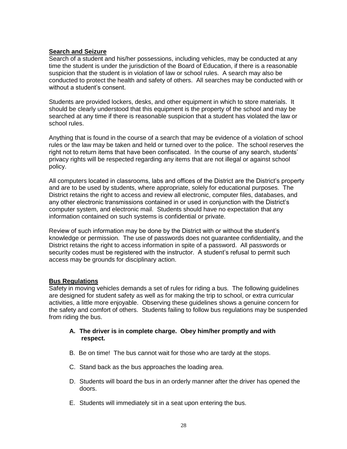## **Search and Seizure**

Search of a student and his/her possessions, including vehicles, may be conducted at any time the student is under the jurisdiction of the Board of Education, if there is a reasonable suspicion that the student is in violation of law or school rules. A search may also be conducted to protect the health and safety of others. All searches may be conducted with or without a student's consent.

Students are provided lockers, desks, and other equipment in which to store materials. It should be clearly understood that this equipment is the property of the school and may be searched at any time if there is reasonable suspicion that a student has violated the law or school rules.

Anything that is found in the course of a search that may be evidence of a violation of school rules or the law may be taken and held or turned over to the police. The school reserves the right not to return items that have been confiscated. In the course of any search, students' privacy rights will be respected regarding any items that are not illegal or against school policy.

All computers located in classrooms, labs and offices of the District are the District's property and are to be used by students, where appropriate, solely for educational purposes. The District retains the right to access and review all electronic, computer files, databases, and any other electronic transmissions contained in or used in conjunction with the District's computer system, and electronic mail. Students should have no expectation that any information contained on such systems is confidential or private.

Review of such information may be done by the District with or without the student's knowledge or permission. The use of passwords does not guarantee confidentiality, and the District retains the right to access information in spite of a password. All passwords or security codes must be registered with the instructor. A student's refusal to permit such access may be grounds for disciplinary action.

## **Bus Regulations**

Safety in moving vehicles demands a set of rules for riding a bus. The following guidelines are designed for student safety as well as for making the trip to school, or extra curricular activities, a little more enjoyable. Observing these guidelines shows a genuine concern for the safety and comfort of others. Students failing to follow bus regulations may be suspended from riding the bus.

## **A. The driver is in complete charge. Obey him/her promptly and with respect.**

- B. Be on time! The bus cannot wait for those who are tardy at the stops.
- C. Stand back as the bus approaches the loading area.
- D. Students will board the bus in an orderly manner after the driver has opened the doors.
- E. Students will immediately sit in a seat upon entering the bus.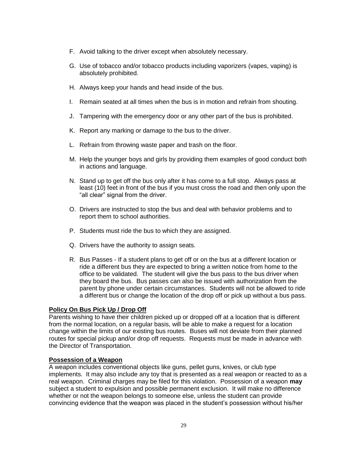- F. Avoid talking to the driver except when absolutely necessary.
- G. Use of tobacco and/or tobacco products including vaporizers (vapes, vaping) is absolutely prohibited.
- H. Always keep your hands and head inside of the bus.
- I. Remain seated at all times when the bus is in motion and refrain from shouting.
- J. Tampering with the emergency door or any other part of the bus is prohibited.
- K. Report any marking or damage to the bus to the driver.
- L. Refrain from throwing waste paper and trash on the floor.
- M. Help the younger boys and girls by providing them examples of good conduct both in actions and language.
- N. Stand up to get off the bus only after it has come to a full stop. Always pass at least (10) feet in front of the bus if you must cross the road and then only upon the "all clear" signal from the driver.
- O. Drivers are instructed to stop the bus and deal with behavior problems and to report them to school authorities.
- P. Students must ride the bus to which they are assigned.
- Q. Drivers have the authority to assign seats.
- R. Bus Passes If a student plans to get off or on the bus at a different location or ride a different bus they are expected to bring a written notice from home to the office to be validated. The student will give the bus pass to the bus driver when they board the bus. Bus passes can also be issued with authorization from the parent by phone under certain circumstances. Students will not be allowed to ride a different bus or change the location of the drop off or pick up without a bus pass.

## **Policy On Bus Pick Up / Drop Off**

Parents wishing to have their children picked up or dropped off at a location that is different from the normal location, on a regular basis, will be able to make a request for a location change within the limits of our existing bus routes. Buses will not deviate from their planned routes for special pickup and/or drop off requests. Requests must be made in advance with the Director of Transportation.

#### **Possession of a Weapon**

A weapon includes conventional objects like guns, pellet guns, knives, or club type implements. It may also include any toy that is presented as a real weapon or reacted to as a real weapon. Criminal charges may be filed for this violation. Possession of a weapon **may** subject a student to expulsion and possible permanent exclusion. It will make no difference whether or not the weapon belongs to someone else, unless the student can provide convincing evidence that the weapon was placed in the student's possession without his/her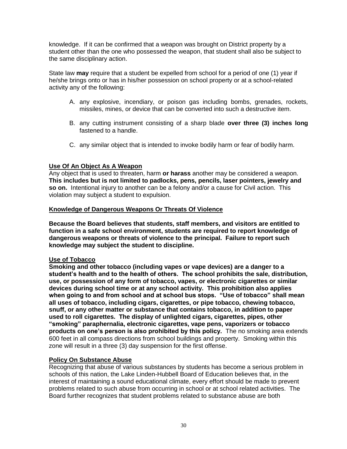knowledge. If it can be confirmed that a weapon was brought on District property by a student other than the one who possessed the weapon, that student shall also be subject to the same disciplinary action.

State law **may** require that a student be expelled from school for a period of one (1) year if he/she brings onto or has in his/her possession on school property or at a school-related activity any of the following:

- A. any explosive, incendiary, or poison gas including bombs, grenades, rockets, missiles, mines, or device that can be converted into such a destructive item.
- B. any cutting instrument consisting of a sharp blade **over three (3) inches long** fastened to a handle.
- C. any similar object that is intended to invoke bodily harm or fear of bodily harm.

## **Use Of An Object As A Weapon**

Any object that is used to threaten, harm **or harass** another may be considered a weapon. **This includes but is not limited to padlocks, pens, pencils, laser pointers, jewelry and so on.** Intentional injury to another can be a felony and/or a cause for Civil action. This violation may subject a student to expulsion.

#### **Knowledge of Dangerous Weapons Or Threats Of Violence**

**Because the Board believes that students, staff members, and visitors are entitled to function in a safe school environment, students are required to report knowledge of dangerous weapons or threats of violence to the principal. Failure to report such knowledge may subject the student to discipline.**

#### **Use of Tobacco**

**Smoking and other tobacco (including vapes or vape devices) are a danger to a student's health and to the health of others. The school prohibits the sale, distribution, use, or possession of any form of tobacco, vapes, or electronic cigarettes or similar devices during school time or at any school activity. This prohibition also applies when going to and from school and at school bus stops. "Use of tobacco" shall mean all uses of tobacco, including cigars, cigarettes, or pipe tobacco, chewing tobacco, snuff, or any other matter or substance that contains tobacco, in addition to paper used to roll cigarettes. The display of unlighted cigars, cigarettes, pipes, other "smoking" paraphernalia, electronic cigarettes, vape pens, vaporizers or tobacco products on one's person is also prohibited by this policy.** The no smoking area extends 600 feet in all compass directions from school buildings and property. Smoking within this zone will result in a three (3) day suspension for the first offense.

#### **Policy On Substance Abuse**

Recognizing that abuse of various substances by students has become a serious problem in schools of this nation, the Lake Linden-Hubbell Board of Education believes that, in the interest of maintaining a sound educational climate, every effort should be made to prevent problems related to such abuse from occurring in school or at school related activities. The Board further recognizes that student problems related to substance abuse are both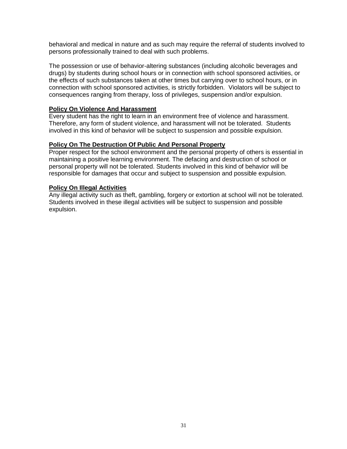behavioral and medical in nature and as such may require the referral of students involved to persons professionally trained to deal with such problems.

The possession or use of behavior-altering substances (including alcoholic beverages and drugs) by students during school hours or in connection with school sponsored activities, or the effects of such substances taken at other times but carrying over to school hours, or in connection with school sponsored activities, is strictly forbidden. Violators will be subject to consequences ranging from therapy, loss of privileges, suspension and/or expulsion.

#### **Policy On Violence And Harassment**

Every student has the right to learn in an environment free of violence and harassment. Therefore, any form of student violence, and harassment will not be tolerated. Students involved in this kind of behavior will be subject to suspension and possible expulsion.

#### **Policy On The Destruction Of Public And Personal Property**

Proper respect for the school environment and the personal property of others is essential in maintaining a positive learning environment. The defacing and destruction of school or personal property will not be tolerated. Students involved in this kind of behavior will be responsible for damages that occur and subject to suspension and possible expulsion.

#### **Policy On Illegal Activities**

Any illegal activity such as theft, gambling, forgery or extortion at school will not be tolerated. Students involved in these illegal activities will be subject to suspension and possible expulsion.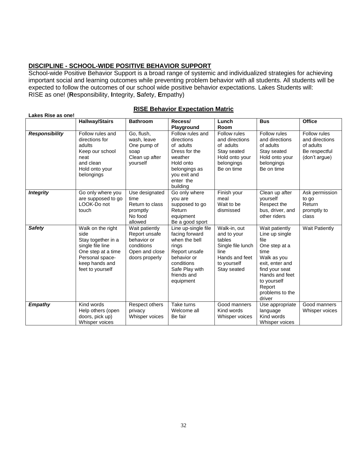## **DISCIPLINE - SCHOOL-WIDE POSITIVE BEHAVIOR SUPPORT**

School-wide Positive Behavior Support is a broad range of systemic and individualized strategies for achieving important social and learning outcomes while preventing problem behavior with all students. All students will be expected to follow the outcomes of our school wide positive behavior expectations. Lakes Students will: RISE as one! (**R**esponsibility, **I**ntegrity, **S**afety, **E**mpathy)

| Lakes Rise as one!    |                                                                                                                                                    |                                                                                                  |                                                                                                                                                             |                                                                                                                    |                                                                                                                                                                                               |                                                                               |
|-----------------------|----------------------------------------------------------------------------------------------------------------------------------------------------|--------------------------------------------------------------------------------------------------|-------------------------------------------------------------------------------------------------------------------------------------------------------------|--------------------------------------------------------------------------------------------------------------------|-----------------------------------------------------------------------------------------------------------------------------------------------------------------------------------------------|-------------------------------------------------------------------------------|
|                       | <b>Hallway/Stairs</b>                                                                                                                              | <b>Bathroom</b>                                                                                  | Recess/<br>Playground                                                                                                                                       | Lunch<br>Room                                                                                                      | <b>Bus</b>                                                                                                                                                                                    | <b>Office</b>                                                                 |
| <b>Responsibility</b> | Follow rules and<br>directions for<br>adults<br>Keep our school<br>neat<br>and clean<br>Hold onto your<br>belongings                               | Go, flush,<br>wash, leave<br>One pump of<br>soap<br>Clean up after<br>yourself                   | Follow rules and<br>directions<br>of adults<br>Dress for the<br>weather<br>Hold onto<br>belongings as<br>you exit and<br>enter the<br>building              | Follow rules<br>and directions<br>of adults<br>Stay seated<br>Hold onto your<br>belongings<br>Be on time           | Follow rules<br>and directions<br>of adults<br>Stay seated<br>Hold onto your<br>belongings<br>Be on time                                                                                      | Follow rules<br>and directions<br>of adults<br>Be respectful<br>(don't argue) |
| <b>Integrity</b>      | Go only where you<br>are supposed to go<br>LOOK-Do not<br>touch                                                                                    | Use designated<br>time<br>Return to class<br>promptly<br>No food<br>allowed                      | Go only where<br>you are<br>supposed to go<br>Return<br>equipment<br>Be a good sport                                                                        | Finish your<br>meal<br>Wait to be<br>dismissed                                                                     | Clean up after<br>vourself<br>Respect the<br>bus, driver, and<br>other riders                                                                                                                 | Ask permission<br>to go<br>Return<br>promptly to<br>class                     |
| <b>Safety</b>         | Walk on the right<br>side<br>Stay together in a<br>single file line<br>One step at a time<br>Personal space-<br>keep hands and<br>feet to yourself | Wait patiently<br>Report unsafe<br>behavior or<br>conditions<br>Open and close<br>doors properly | Line up-single file<br>facing forward<br>when the bell<br>rings<br>Report unsafe<br>behavior or<br>conditions<br>Safe Play with<br>friends and<br>equipment | Walk-in, out<br>and to your<br>tables<br>Single file lunch<br>line<br>Hands and feet<br>to yourself<br>Stay seated | Wait patiently<br>Line up single<br>file<br>One step at a<br>time<br>Walk as you<br>exit, enter and<br>find your seat<br>Hands and feet<br>to yourself<br>Report<br>problems to the<br>driver | <b>Wait Patiently</b>                                                         |
| <b>Empathy</b>        | Kind words<br>Help others (open<br>doors, pick up)<br>Whisper voices                                                                               | Respect others<br>privacy<br>Whisper voices                                                      | Take turns<br>Welcome all<br>Be fair                                                                                                                        | Good manners<br>Kind words<br>Whisper voices                                                                       | Use appropriate<br>language<br>Kind words<br>Whisper voices                                                                                                                                   | Good manners<br>Whisper voices                                                |

#### **RISE Behavior Expectation Matric**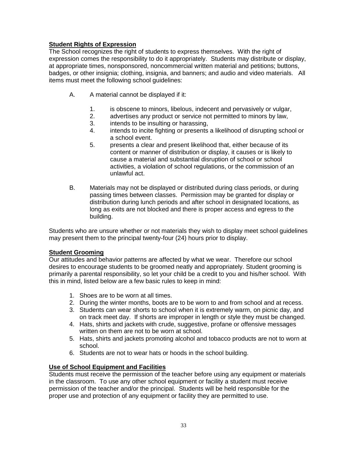# **Student Rights of Expression**

The School recognizes the right of students to express themselves. With the right of expression comes the responsibility to do it appropriately. Students may distribute or display, at appropriate times, nonsponsored, noncommercial written material and petitions; buttons, badges, or other insignia; clothing, insignia, and banners; and audio and video materials. All items must meet the following school guidelines:

- A. A material cannot be displayed if it:
	- 1. is obscene to minors, libelous, indecent and pervasively or vulgar,
	- 2. advertises any product or service not permitted to minors by law,
	- 3. intends to be insulting or harassing,
	- 4. intends to incite fighting or presents a likelihood of disrupting school or a school event.
	- 5. presents a clear and present likelihood that, either because of its content or manner of distribution or display, it causes or is likely to cause a material and substantial disruption of school or school activities, a violation of school regulations, or the commission of an unlawful act.
- B. Materials may not be displayed or distributed during class periods, or during passing times between classes. Permission may be granted for display or distribution during lunch periods and after school in designated locations, as long as exits are not blocked and there is proper access and egress to the building.

Students who are unsure whether or not materials they wish to display meet school guidelines may present them to the principal twenty-four (24) hours prior to display.

## **Student Grooming**

Our attitudes and behavior patterns are affected by what we wear. Therefore our school desires to encourage students to be groomed neatly and appropriately. Student grooming is primarily a parental responsibility, so let your child be a credit to you and his/her school. With this in mind, listed below are a few basic rules to keep in mind:

- 1. Shoes are to be worn at all times.
- 2. During the winter months, boots are to be worn to and from school and at recess.
- 3. Students can wear shorts to school when it is extremely warm, on picnic day, and on track meet day. If shorts are improper in length or style they must be changed.
- 4. Hats, shirts and jackets with crude, suggestive, profane or offensive messages written on them are not to be worn at school.
- 5. Hats, shirts and jackets promoting alcohol and tobacco products are not to worn at school.
- 6. Students are not to wear hats or hoods in the school building.

## **Use of School Equipment and Facilities**

Students must receive the permission of the teacher before using any equipment or materials in the classroom. To use any other school equipment or facility a student must receive permission of the teacher and/or the principal. Students will be held responsible for the proper use and protection of any equipment or facility they are permitted to use.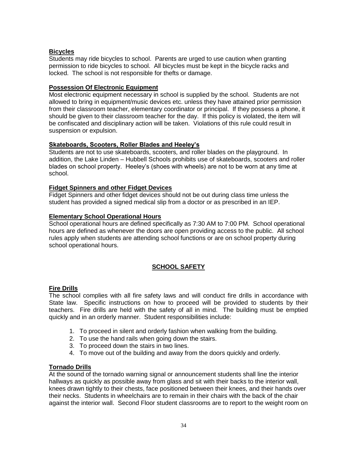## **Bicycles**

Students may ride bicycles to school. Parents are urged to use caution when granting permission to ride bicycles to school. All bicycles must be kept in the bicycle racks and locked. The school is not responsible for thefts or damage.

## **Possession Of Electronic Equipment**

Most electronic equipment necessary in school is supplied by the school. Students are not allowed to bring in equipment/music devices etc. unless they have attained prior permission from their classroom teacher, elementary coordinator or principal. If they possess a phone, it should be given to their classroom teacher for the day. If this policy is violated, the item will be confiscated and disciplinary action will be taken. Violations of this rule could result in suspension or expulsion.

## **Skateboards, Scooters, Roller Blades and Heeley's**

Students are not to use skateboards, scooters, and roller blades on the playground. In addition, the Lake Linden – Hubbell Schools prohibits use of skateboards, scooters and roller blades on school property. Heeley's (shoes with wheels) are not to be worn at any time at school.

## **Fidget Spinners and other Fidget Devices**

Fidget Spinners and other fidget devices should not be out during class time unless the student has provided a signed medical slip from a doctor or as prescribed in an IEP.

## **Elementary School Operational Hours**

School operational hours are defined specifically as 7:30 AM to 7:00 PM. School operational hours are defined as whenever the doors are open providing access to the public. All school rules apply when students are attending school functions or are on school property during school operational hours.

# **SCHOOL SAFETY**

## **Fire Drills**

The school complies with all fire safety laws and will conduct fire drills in accordance with State law. Specific instructions on how to proceed will be provided to students by their teachers. Fire drills are held with the safety of all in mind. The building must be emptied quickly and in an orderly manner. Student responsibilities include:

- 1. To proceed in silent and orderly fashion when walking from the building.
- 2. To use the hand rails when going down the stairs.
- 3. To proceed down the stairs in two lines.
- 4. To move out of the building and away from the doors quickly and orderly.

## **Tornado Drills**

At the sound of the tornado warning signal or announcement students shall line the interior hallways as quickly as possible away from glass and sit with their backs to the interior wall, knees drawn tightly to their chests, face positioned between their knees, and their hands over their necks. Students in wheelchairs are to remain in their chairs with the back of the chair against the interior wall. Second Floor student classrooms are to report to the weight room on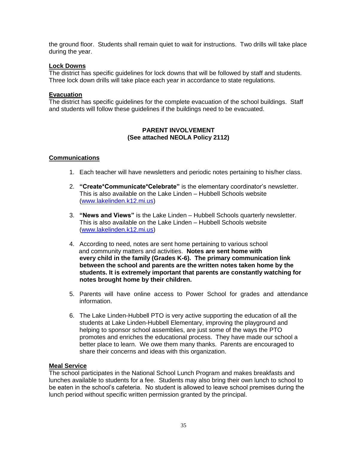the ground floor. Students shall remain quiet to wait for instructions. Two drills will take place during the year.

#### **Lock Downs**

The district has specific guidelines for lock downs that will be followed by staff and students. Three lock down drills will take place each year in accordance to state regulations.

#### **Evacuation**

The district has specific guidelines for the complete evacuation of the school buildings. Staff and students will follow these guidelines if the buildings need to be evacuated.

#### **PARENT INVOLVEMENT (See attached NEOLA Policy 2112)**

## **Communications**

- 1. Each teacher will have newsletters and periodic notes pertaining to his/her class.
- 2. **"Create\*Communicate\*Celebrate"** is the elementary coordinator's newsletter. This is also available on the Lake Linden – Hubbell Schools website [\(www.lakelinden.k12.mi.us\)](http://www.lakelinden.k12.mi.us/)
- 3. **"News and Views"** is the Lake Linden Hubbell Schools quarterly newsletter. This is also available on the Lake Linden – Hubbell Schools website [\(www.lakelinden.k12.mi.us\)](http://www.lakelinden.k12.mi.us/)
- 4. According to need, notes are sent home pertaining to various school and community matters and activities. **Notes are sent home with every child in the family (Grades K-6). The primary communication link between the school and parents are the written notes taken home by the students. It is extremely important that parents are constantly watching for notes brought home by their children.**
- 5. Parents will have online access to Power School for grades and attendance information.
- 6. The Lake Linden-Hubbell PTO is very active supporting the education of all the students at Lake Linden-Hubbell Elementary, improving the playground and helping to sponsor school assemblies, are just some of the ways the PTO promotes and enriches the educational process. They have made our school a better place to learn. We owe them many thanks. Parents are encouraged to share their concerns and ideas with this organization.

#### **Meal Service**

The school participates in the National School Lunch Program and makes breakfasts and lunches available to students for a fee. Students may also bring their own lunch to school to be eaten in the school's cafeteria. No student is allowed to leave school premises during the lunch period without specific written permission granted by the principal.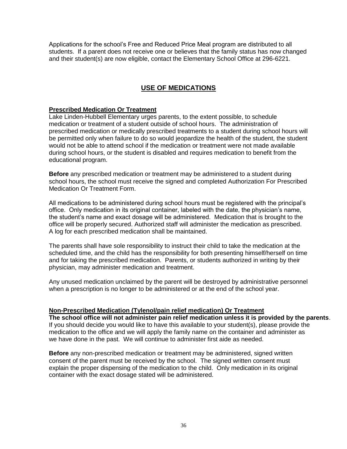Applications for the school's Free and Reduced Price Meal program are distributed to all students. If a parent does not receive one or believes that the family status has now changed and their student(s) are now eligible, contact the Elementary School Office at 296-6221.

# **USE OF MEDICATIONS**

#### **Prescribed Medication Or Treatment**

Lake Linden-Hubbell Elementary urges parents, to the extent possible, to schedule medication or treatment of a student outside of school hours. The administration of prescribed medication or medically prescribed treatments to a student during school hours will be permitted only when failure to do so would jeopardize the health of the student, the student would not be able to attend school if the medication or treatment were not made available during school hours, or the student is disabled and requires medication to benefit from the educational program.

**Before** any prescribed medication or treatment may be administered to a student during school hours, the school must receive the signed and completed Authorization For Prescribed Medication Or Treatment Form.

All medications to be administered during school hours must be registered with the principal's office. Only medication in its original container, labeled with the date, the physician's name, the student's name and exact dosage will be administered. Medication that is brought to the office will be properly secured. Authorized staff will administer the medication as prescribed. A log for each prescribed medication shall be maintained.

The parents shall have sole responsibility to instruct their child to take the medication at the scheduled time, and the child has the responsibility for both presenting himself/herself on time and for taking the prescribed medication. Parents, or students authorized in writing by their physician, may administer medication and treatment.

Any unused medication unclaimed by the parent will be destroyed by administrative personnel when a prescription is no longer to be administered or at the end of the school year.

## **Non-Prescribed Medication (Tylenol/pain relief medication) Or Treatment**

**The school office will not administer pain relief medication unless it is provided by the parents**. If you should decide you would like to have this available to your student(s), please provide the medication to the office and we will apply the family name on the container and administer as we have done in the past. We will continue to administer first aide as needed.

**Before** any non-prescribed medication or treatment may be administered, signed written consent of the parent must be received by the school. The signed written consent must explain the proper dispensing of the medication to the child. Only medication in its original container with the exact dosage stated will be administered.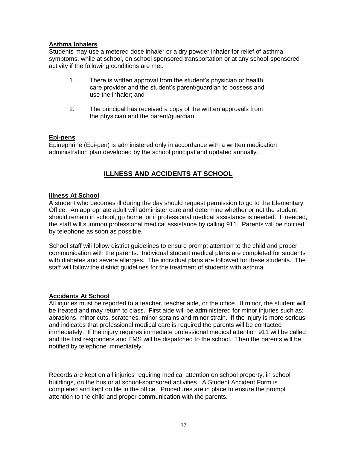## **Asthma Inhalers**

Students may use a metered dose inhaler or a dry powder inhaler for relief of asthma symptoms, while at school, on school sponsored transportation or at any school-sponsored activity if the following conditions are met:

- 1. There is written approval from the student's physician or health care provider and the student's parent/guardian to possess and use the inhaler; and
- 2. The principal has received a copy of the written approvals from the physician and the parent/guardian.

## **Epi-pens**

Epinephrine (Epi-pen) is administered only in accordance with a written medication administration plan developed by the school principal and updated annually.

# **ILLNESS AND ACCIDENTS AT SCHOOL**

## **Illness At School**

A student who becomes ill during the day should request permission to go to the Elementary Office. An appropriate adult will administer care and determine whether or not the student should remain in school, go home, or if professional medical assistance is needed. If needed, the staff will summon professional medical assistance by calling 911. Parents will be notified by telephone as soon as possible.

School staff will follow district guidelines to ensure prompt attention to the child and proper communication with the parents. Individual student medical plans are completed for students with diabetes and severe allergies. The individual plans are followed for these students. The staff will follow the district guidelines for the treatment of students with asthma.

## **Accidents At School**

All injuries must be reported to a teacher, teacher aide, or the office. If minor, the student will be treated and may return to class. First aide will be administered for minor injuries such as: abrasions, minor cuts, scratches, minor sprains and minor strain. If the injury is more serious and indicates that professional medical care is required the parents will be contacted immediately. If the injury requires immediate professional medical attention 911 will be called and the first responders and EMS will be dispatched to the school. Then the parents will be notified by telephone immediately.

Records are kept on all injuries requiring medical attention on school property, in school buildings, on the bus or at school-sponsored activities. A Student Accident Form is completed and kept on file in the office. Procedures are in place to ensure the prompt attention to the child and proper communication with the parents.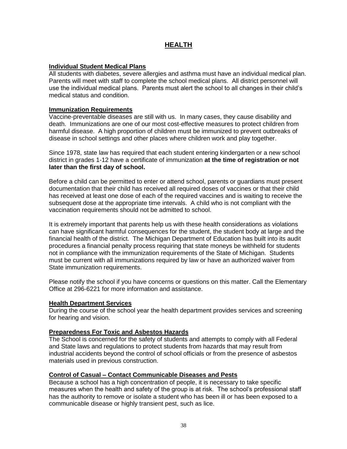# **HEALTH**

#### **Individual Student Medical Plans**

All students with diabetes, severe allergies and asthma must have an individual medical plan. Parents will meet with staff to complete the school medical plans. All district personnel will use the individual medical plans. Parents must alert the school to all changes in their child's medical status and condition.

#### **Immunization Requirements**

Vaccine-preventable diseases are still with us. In many cases, they cause disability and death. Immunizations are one of our most cost-effective measures to protect children from harmful disease. A high proportion of children must be immunized to prevent outbreaks of disease in school settings and other places where children work and play together.

Since 1978, state law has required that each student entering kindergarten or a new school district in grades 1-12 have a certificate of immunization **at the time of registration or not later than the first day of school.**

Before a child can be permitted to enter or attend school, parents or guardians must present documentation that their child has received all required doses of vaccines or that their child has received at least one dose of each of the required vaccines and is waiting to receive the subsequent dose at the appropriate time intervals. A child who is not compliant with the vaccination requirements should not be admitted to school.

It is extremely important that parents help us with these health considerations as violations can have significant harmful consequences for the student, the student body at large and the financial health of the district. The Michigan Department of Education has built into its audit procedures a financial penalty process requiring that state moneys be withheld for students not in compliance with the immunization requirements of the State of Michigan. Students must be current with all immunizations required by law or have an authorized waiver from State immunization requirements.

Please notify the school if you have concerns or questions on this matter. Call the Elementary Office at 296-6221 for more information and assistance.

#### **Health Department Services**

During the course of the school year the health department provides services and screening for hearing and vision.

## **Preparedness For Toxic and Asbestos Hazards**

The School is concerned for the safety of students and attempts to comply with all Federal and State laws and regulations to protect students from hazards that may result from industrial accidents beyond the control of school officials or from the presence of asbestos materials used in previous construction.

#### **Control of Casual – Contact Communicable Diseases and Pests**

Because a school has a high concentration of people, it is necessary to take specific measures when the health and safety of the group is at risk. The school's professional staff has the authority to remove or isolate a student who has been ill or has been exposed to a communicable disease or highly transient pest, such as lice.